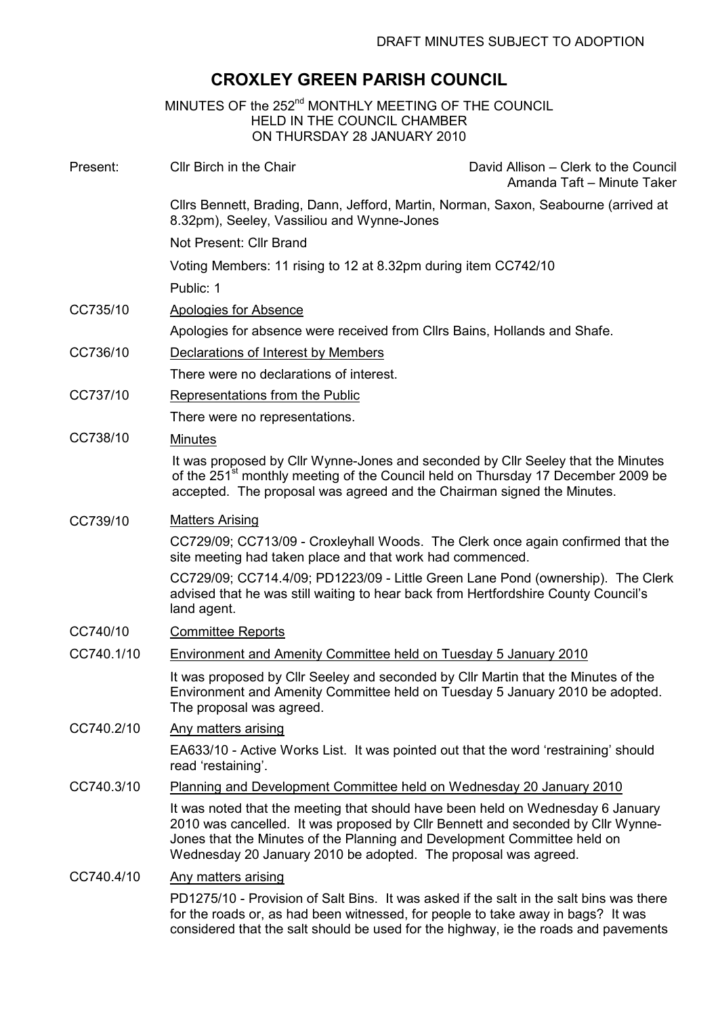## CROXLEY GREEN PARISH COUNCIL

|                                                                           | MINUTES OF the 252 <sup>nd</sup> MONTHLY MEETING OF THE COUNCIL<br><b>HELD IN THE COUNCIL CHAMBER</b><br>ON THURSDAY 28 JANUARY 2010                                                                                                                                                                             |                                                                                              |
|---------------------------------------------------------------------------|------------------------------------------------------------------------------------------------------------------------------------------------------------------------------------------------------------------------------------------------------------------------------------------------------------------|----------------------------------------------------------------------------------------------|
| Present:                                                                  | Cllr Birch in the Chair                                                                                                                                                                                                                                                                                          | David Allison – Clerk to the Council<br>Amanda Taft - Minute Taker                           |
|                                                                           | Cllrs Bennett, Brading, Dann, Jefford, Martin, Norman, Saxon, Seabourne (arrived at<br>8.32pm), Seeley, Vassiliou and Wynne-Jones<br>Not Present: Cllr Brand                                                                                                                                                     |                                                                                              |
|                                                                           |                                                                                                                                                                                                                                                                                                                  |                                                                                              |
|                                                                           | Public: 1                                                                                                                                                                                                                                                                                                        |                                                                                              |
|                                                                           | CC735/10                                                                                                                                                                                                                                                                                                         | <b>Apologies for Absence</b>                                                                 |
| Apologies for absence were received from Cllrs Bains, Hollands and Shafe. |                                                                                                                                                                                                                                                                                                                  |                                                                                              |
| CC736/10                                                                  | Declarations of Interest by Members                                                                                                                                                                                                                                                                              |                                                                                              |
|                                                                           | There were no declarations of interest.                                                                                                                                                                                                                                                                          |                                                                                              |
| CC737/10                                                                  | Representations from the Public                                                                                                                                                                                                                                                                                  |                                                                                              |
|                                                                           | There were no representations.                                                                                                                                                                                                                                                                                   |                                                                                              |
| CC738/10                                                                  | <b>Minutes</b>                                                                                                                                                                                                                                                                                                   |                                                                                              |
|                                                                           | It was proposed by Cllr Wynne-Jones and seconded by Cllr Seeley that the Minutes<br>accepted. The proposal was agreed and the Chairman signed the Minutes.                                                                                                                                                       | of the 251 <sup>st</sup> monthly meeting of the Council held on Thursday 17 December 2009 be |
| CC739/10                                                                  | <b>Matters Arising</b>                                                                                                                                                                                                                                                                                           |                                                                                              |
|                                                                           | CC729/09; CC713/09 - Croxleyhall Woods. The Clerk once again confirmed that the<br>site meeting had taken place and that work had commenced.                                                                                                                                                                     |                                                                                              |
|                                                                           | CC729/09; CC714.4/09; PD1223/09 - Little Green Lane Pond (ownership). The Clerk<br>advised that he was still waiting to hear back from Hertfordshire County Council's<br>land agent.                                                                                                                             |                                                                                              |
| CC740/10                                                                  | <b>Committee Reports</b>                                                                                                                                                                                                                                                                                         |                                                                                              |
| CC740.1/10                                                                | Environment and Amenity Committee held on Tuesday 5 January 2010                                                                                                                                                                                                                                                 |                                                                                              |
|                                                                           | It was proposed by CIIr Seeley and seconded by CIIr Martin that the Minutes of the<br>Environment and Amenity Committee held on Tuesday 5 January 2010 be adopted.<br>The proposal was agreed.                                                                                                                   |                                                                                              |
| CC740.2/10                                                                | <b>Any matters arising</b>                                                                                                                                                                                                                                                                                       |                                                                                              |
|                                                                           | EA633/10 - Active Works List. It was pointed out that the word 'restraining' should<br>read 'restaining'.                                                                                                                                                                                                        |                                                                                              |
| CC740.3/10                                                                | Planning and Development Committee held on Wednesday 20 January 2010                                                                                                                                                                                                                                             |                                                                                              |
|                                                                           | It was noted that the meeting that should have been held on Wednesday 6 January<br>2010 was cancelled. It was proposed by Cllr Bennett and seconded by Cllr Wynne-<br>Jones that the Minutes of the Planning and Development Committee held on<br>Wednesday 20 January 2010 be adopted. The proposal was agreed. |                                                                                              |
| CC740.4/10                                                                | Any matters arising                                                                                                                                                                                                                                                                                              |                                                                                              |
|                                                                           | PD1275/10 - Provision of Salt Bins. It was asked if the salt in the salt bins was there<br>for the roads or, as had been witnessed, for people to take away in bags? It was                                                                                                                                      |                                                                                              |

considered that the salt should be used for the highway, ie the roads and pavements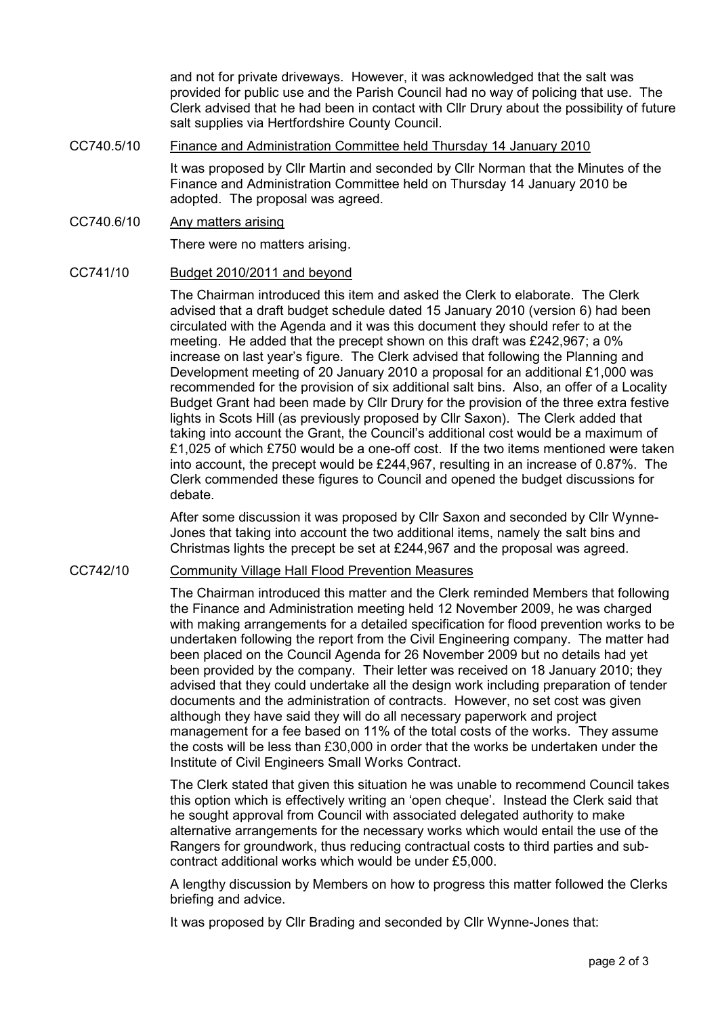and not for private driveways. However, it was acknowledged that the salt was provided for public use and the Parish Council had no way of policing that use. The Clerk advised that he had been in contact with Cllr Drury about the possibility of future salt supplies via Hertfordshire County Council.

CC740.5/10 Finance and Administration Committee held Thursday 14 January 2010

It was proposed by Cllr Martin and seconded by Cllr Norman that the Minutes of the Finance and Administration Committee held on Thursday 14 January 2010 be adopted. The proposal was agreed.

CC740.6/10 Any matters arising

There were no matters arising.

## CC741/10 Budget 2010/2011 and beyond

The Chairman introduced this item and asked the Clerk to elaborate. The Clerk advised that a draft budget schedule dated 15 January 2010 (version 6) had been circulated with the Agenda and it was this document they should refer to at the meeting. He added that the precept shown on this draft was £242,967; a 0% increase on last year's figure. The Clerk advised that following the Planning and Development meeting of 20 January 2010 a proposal for an additional £1,000 was recommended for the provision of six additional salt bins. Also, an offer of a Locality Budget Grant had been made by Cllr Drury for the provision of the three extra festive lights in Scots Hill (as previously proposed by Cllr Saxon). The Clerk added that taking into account the Grant, the Council's additional cost would be a maximum of £1,025 of which £750 would be a one-off cost. If the two items mentioned were taken into account, the precept would be £244,967, resulting in an increase of 0.87%. The Clerk commended these figures to Council and opened the budget discussions for debate.

After some discussion it was proposed by Cllr Saxon and seconded by Cllr Wynne-Jones that taking into account the two additional items, namely the salt bins and Christmas lights the precept be set at £244,967 and the proposal was agreed.

## CC742/10 Community Village Hall Flood Prevention Measures

The Chairman introduced this matter and the Clerk reminded Members that following the Finance and Administration meeting held 12 November 2009, he was charged with making arrangements for a detailed specification for flood prevention works to be undertaken following the report from the Civil Engineering company. The matter had been placed on the Council Agenda for 26 November 2009 but no details had yet been provided by the company. Their letter was received on 18 January 2010; they advised that they could undertake all the design work including preparation of tender documents and the administration of contracts. However, no set cost was given although they have said they will do all necessary paperwork and project management for a fee based on 11% of the total costs of the works. They assume the costs will be less than £30,000 in order that the works be undertaken under the Institute of Civil Engineers Small Works Contract.

The Clerk stated that given this situation he was unable to recommend Council takes this option which is effectively writing an 'open cheque'. Instead the Clerk said that he sought approval from Council with associated delegated authority to make alternative arrangements for the necessary works which would entail the use of the Rangers for groundwork, thus reducing contractual costs to third parties and subcontract additional works which would be under £5,000.

A lengthy discussion by Members on how to progress this matter followed the Clerks briefing and advice.

It was proposed by Cllr Brading and seconded by Cllr Wynne-Jones that: